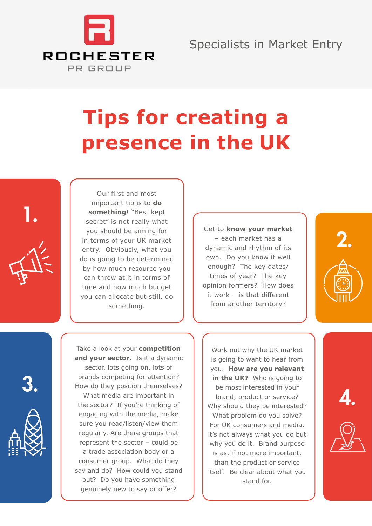

## Specialists in Market Entry

## **Tips for creating a presence in the UK**



Our first and most important tip is to **do something!** "Best kept secret" is not really what you should be aiming for in terms of your UK market entry. Obviously, what you do is going to be determined by how much resource you can throw at it in terms of time and how much budget you can allocate but still, do something.

Get to **know your market** – each market has a dynamic and rhythm of its own. Do you know it well enough? The key dates/ times of year? The key opinion formers? How does it work – is that different from another territory?



Take a look at your **competition and your sector**. Is it a dynamic sector, lots going on, lots of brands competing for attention? How do they position themselves?

What media are important in the sector? If you're thinking of engaging with the media, make sure you read/listen/view them regularly. Are there groups that represent the sector – could be a trade association body or a consumer group. What do they say and do? How could you stand out? Do you have something genuinely new to say or offer?

Work out why the UK market is going to want to hear from you. **How are you relevant in the UK?** Who is going to be most interested in your brand, product or service? Why should they be interested? What problem do you solve? For UK consumers and media, it's not always what you do but why you do it. Brand purpose is as, if not more important, than the product or service itself. Be clear about what you stand for.





4.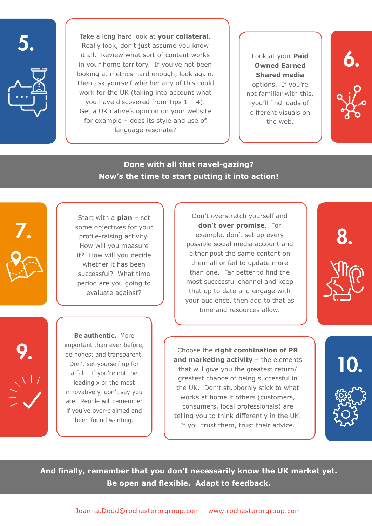

Take a long hard look at **your collateral**. Really look, don't just assume you know it all. Review what sort of content works in your home territory. If you've not been looking at metrics hard enough, look again. Then ask yourself whether any of this could work for the UK (taking into account what you have discovered from Tips  $1 - 4$ ). Get a UK native's opinion on your website for example – does its style and use of language resonate?

Look at your **Paid Owned Earned Shared media** options. If you're not familiar with this, you'll find loads of different visuals on the web.

6.



## **Done with all that navel-gazing? Now's the time to start putting it into action!**



Start with a **plan** – set some objectives for your profile-raising activity. How will you measure it? How will you decide whether it has been successful? What time period are you going to evaluate against?

Don't overstretch yourself and **don't over promise**. For example, don't set up every possible social media account and either post the same content on them all or fail to update more than one. Far better to find the most successful channel and keep that up to date and engage with your audience, then add to that as time and resources allow.



9.

**Be authentic.** More important than ever before, be honest and transparent. Don't set yourself up for a fall. If you're not the leading x or the most innovative y, don't say you are. People will remember if you've over-claimed and been found wanting.

Choose the **right combination of PR and marketing activity** – the elements that will give you the greatest return/ greatest chance of being successful in the UK. Don't stubbornly stick to what works at home if others (customers, consumers, local professionals) are telling you to think differently in the UK. If you trust them, trust their advice.



**And finally, remember that you don't necessarily know the UK market yet. Be open and flexible. Adapt to feedback.**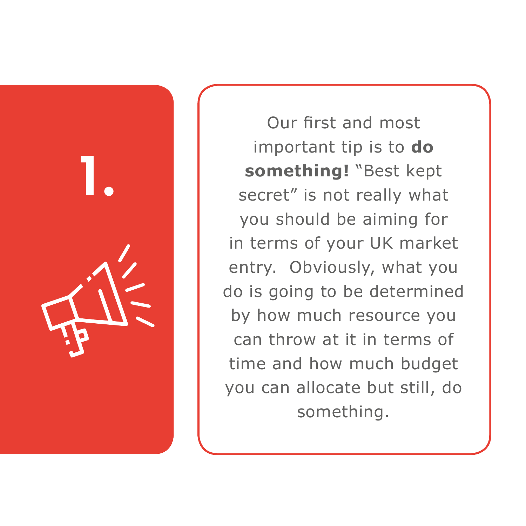

Our first and most important tip is to **do something!** "Best kept secret" is not really what you should be aiming for in terms of your UK market entry. Obviously, what you do is going to be determined by how much resource you can throw at it in terms of time and how much budget you can allocate but still, do something.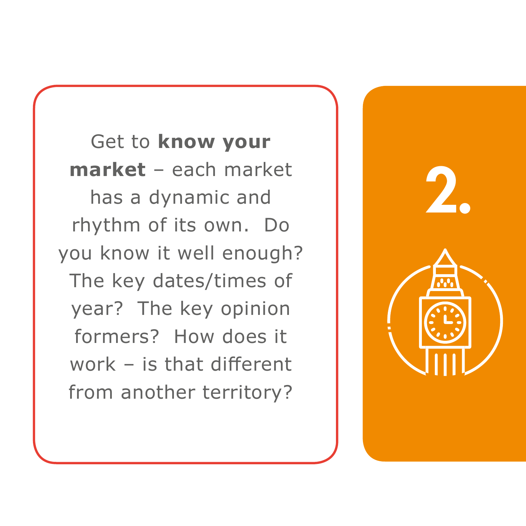Get to **know your market** – each market has a dynamic and rhythm of its own. Do you know it well enough? The key dates/times of year? The key opinion formers? How does it work – is that different from another territory?

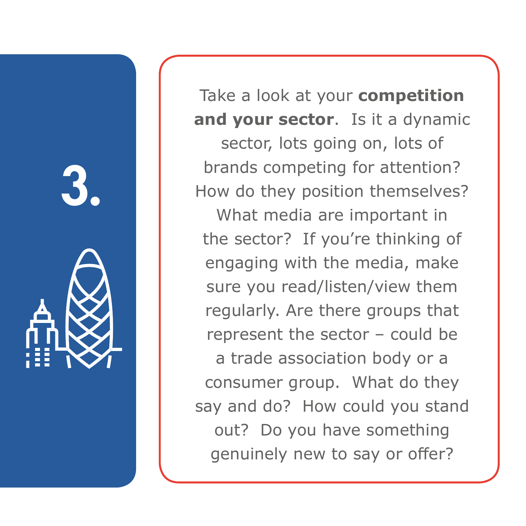

Take a look at your **competition and your sector**. Is it a dynamic

sector, lots going on, lots of brands competing for attention? How do they position themselves?

What media are important in the sector? If you're thinking of engaging with the media, make sure you read/listen/view them regularly. Are there groups that represent the sector – could be a trade association body or a consumer group. What do they say and do? How could you stand out? Do you have something genuinely new to say or offer?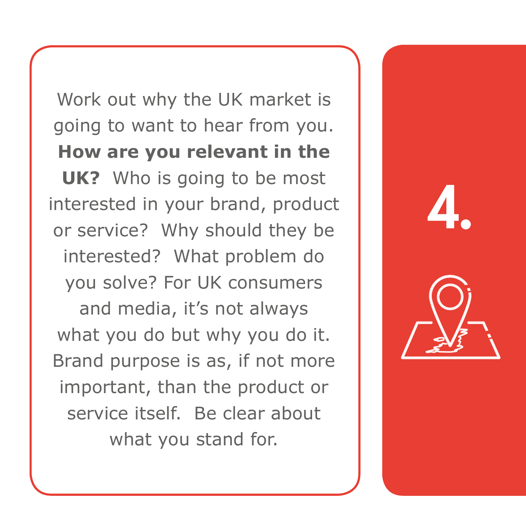Work out why the UK market is going to want to hear from you. **How are you relevant in the UK?** Who is going to be most interested in your brand, product or service? Why should they be interested? What problem do you solve? For UK consumers and media, it's not always what you do but why you do it. Brand purpose is as, if not more important, than the product or service itself. Be clear about what you stand for.

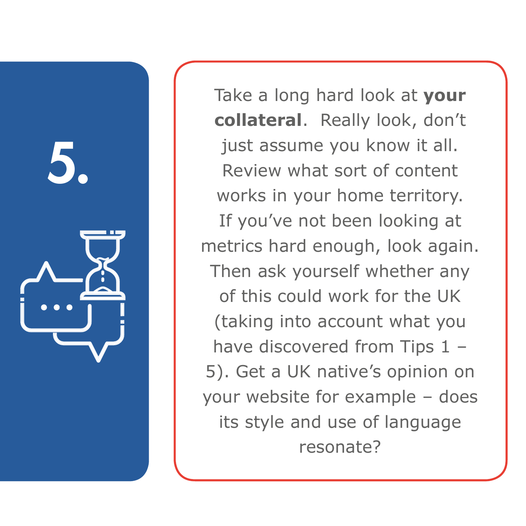

Take a long hard look at **your collateral**. Really look, don't just assume you know it all. Review what sort of content works in your home territory. If you've not been looking at metrics hard enough, look again. Then ask yourself whether any of this could work for the UK (taking into account what you have discovered from Tips 1 -5). Get a UK native's opinion on your website for example – does its style and use of language resonate?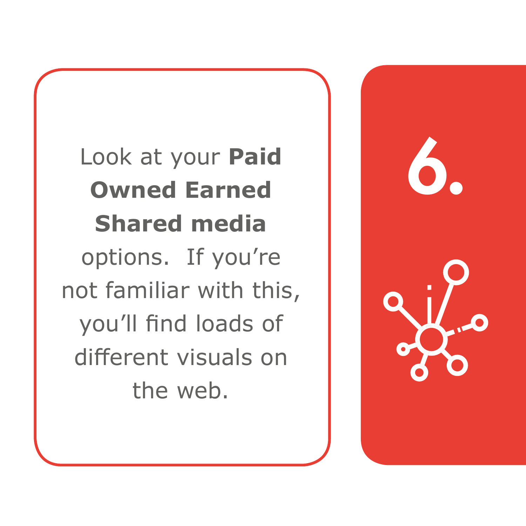Look at your **Paid Owned Earned Shared media** options. If you're not familiar with this, you'll find loads of different visuals on the web.

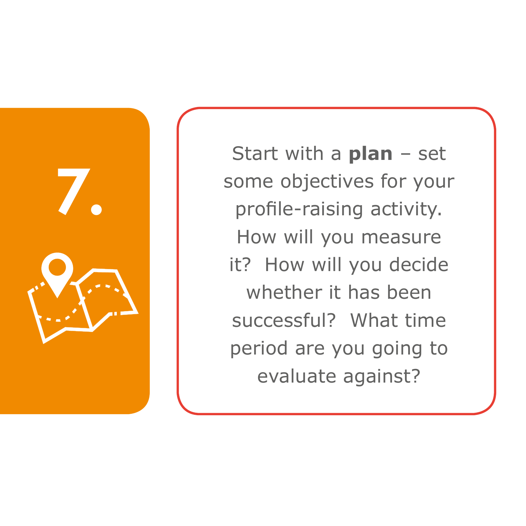

Start with a **plan** – set some objectives for your profile-raising activity. How will you measure it? How will you decide whether it has been successful? What time period are you going to evaluate against?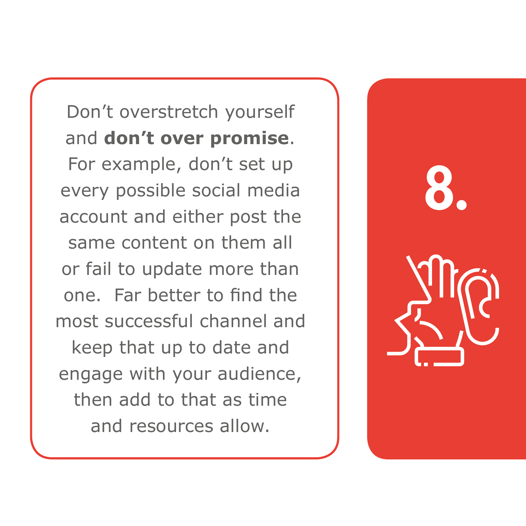Don't overstretch yourself and **don't over promise**. For example, don't set up every possible social media account and either post the same content on them all or fail to update more than one. Far better to find the most successful channel and keep that up to date and engage with your audience, then add to that as time and resources allow.

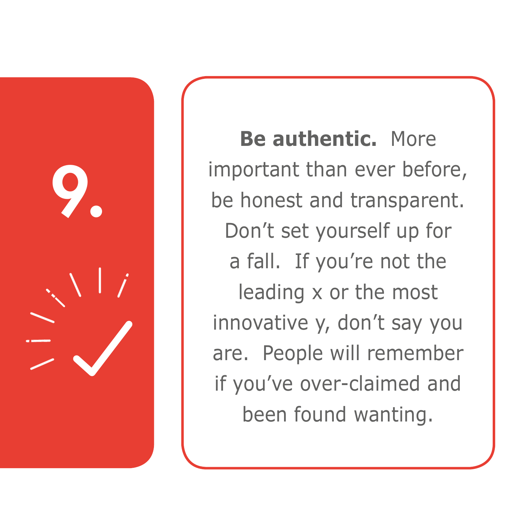

**Be authentic.** More important than ever before, be honest and transparent. Don't set yourself up for a fall. If you're not the leading x or the most innovative y, don't say you are. People will remember if you've over-claimed and been found wanting.